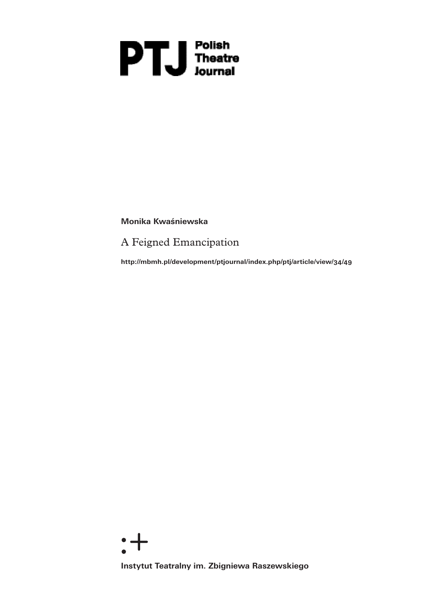# **PH**<br>Theatre<br>Journal

**Monika Kwaśniewska** 

A Feigned Emancipation

**http://mbmh.pl/development/ptjournal/index.php/ptj/article/view/34/49**

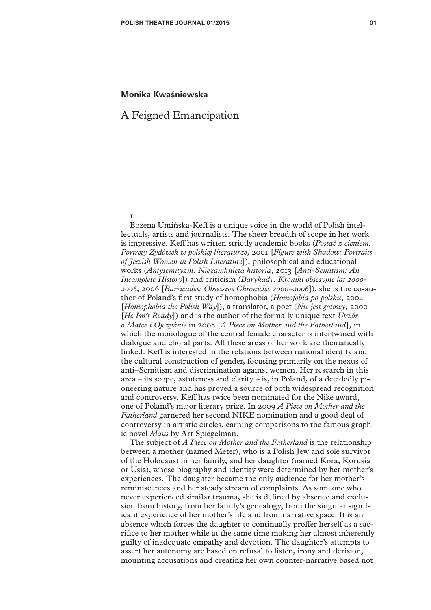## **Monika Kwaśniewska**

# A Feigned Emancipation

# 1.

Bożena Umińska-Keff is a unique voice in the world of Polish intellectuals, artists and journalists. The sheer breadth of scope in her work is impressive. Keff has written strictly academic books (*Postać z cieniem. Portrety Żydówek w polskiej literaturze,* 2001 [*Figure with Shadow: Portraits of Jewish Women in Polish Literature*]), philosophical and educational works (*Antysemityzm. Niezamknięta historia,* 2013 [*Anti-Semitism: An Incomplete History*]) and criticism (*Barykady. Kroniki obsesyjne lat 2000- 2006,* 2006 [*Barricades: Obsessive Chronicles 2000–2006*])*,* she is the co-author of Poland's first study of homophobia (*Homofobia po polsku,* 2004 [*Homophobia the Polish Way*]), a translator, a poet (*Nie jest gotowy,* 2000 [*He Isn't Ready*]) and is the author of the formally unique text *Utwór o Matce i Ojczyźnie* in 2008 [*A Piece on Mother and the Fatherland*]*,* in which the monologue of the central female character is intertwined with dialogue and choral parts. All these areas of her work are thematically linked. Keff is interested in the relations between national identity and the cultural construction of gender, focusing primarily on the nexus of anti–Semitism and discrimination against women. Her research in this area – its scope, astuteness and clarity – is, in Poland, of a decidedly pioneering nature and has proved a source of both widespread recognition and controversy. Keff has twice been nominated for the Nike award, one of Poland's major literary prize. In 2009 *A Piece on Mother and the Fatherland* garnered her second NIKE nomination and a good deal of controversy in artistic circles, earning comparisons to the famous graphic novel *Maus* by Art Spiegelman.

The subject of *A Piece on Mother and the Fatherland* is the relationship between a mother (named Meter), who is a Polish Jew and sole survivor of the Holocaust in her family, and her daughter (named Kora, Korusia or Usia), whose biography and identity were determined by her mother's experiences. The daughter became the only audience for her mother's reminiscences and her steady stream of complaints. As someone who never experienced similar trauma, she is defined by absence and exclusion from history, from her family's genealogy, from the singular significant experience of her mother's life and from narrative space. It is an absence which forces the daughter to continually proffer herself as a sacrifice to her mother while at the same time making her almost inherently guilty of inadequate empathy and devotion. The daughter's attempts to assert her autonomy are based on refusal to listen, irony and derision, mounting accusations and creating her own counter-narrative based not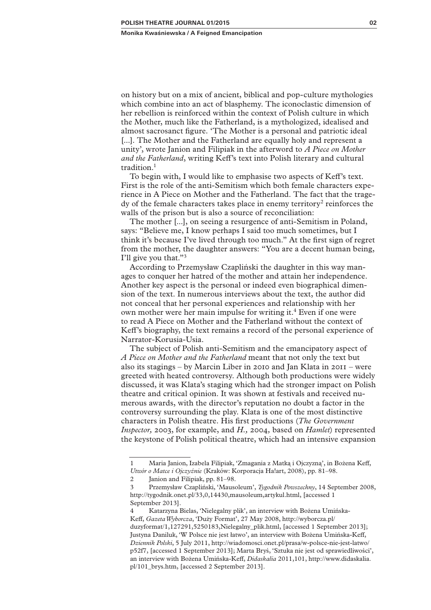on history but on a mix of ancient, biblical and pop-culture mythologies which combine into an act of blasphemy. The iconoclastic dimension of her rebellion is reinforced within the context of Polish culture in which the Mother, much like the Fatherland, is a mythologized, idealised and almost sacrosanct figure. 'The Mother is a personal and patriotic ideal [...]. The Mother and the Fatherland are equally holy and represent a unity', wrote Janion and Filipiak in the afterword to *A Piece on Mother and the Fatherland*, writing Keff's text into Polish literary and cultural tradition.<sup>1</sup>

To begin with, I would like to emphasise two aspects of Keff's text. First is the role of the anti-Semitism which both female characters experience in A Piece on Mother and the Fatherland. The fact that the tragedy of the female characters takes place in enemy territory<sup>2</sup> reinforces the walls of the prison but is also a source of reconciliation:

The mother [...], on seeing a resurgence of anti-Semitism in Poland, says: "Believe me, I know perhaps I said too much sometimes, but I think it's because I've lived through too much." At the first sign of regret from the mother, the daughter answers: "You are a decent human being, I'll give you that."3

According to Przemysław Czapliński the daughter in this way manages to conquer her hatred of the mother and attain her independence. Another key aspect is the personal or indeed even biographical dimension of the text. In numerous interviews about the text, the author did not conceal that her personal experiences and relationship with her own mother were her main impulse for writing it.<sup>4</sup> Even if one were to read A Piece on Mother and the Fatherland without the context of Keff's biography, the text remains a record of the personal experience of Narrator-Korusia-Usia.

The subject of Polish anti-Semitism and the emancipatory aspect of *A Piece on Mother and the Fatherland* meant that not only the text but also its stagings – by Marcin Liber in 2010 and Jan Klata in 2011 – were greeted with heated controversy. Although both productions were widely discussed, it was Klata's staging which had the stronger impact on Polish theatre and critical opinion. It was shown at festivals and received numerous awards, with the director's reputation no doubt a factor in the controversy surrounding the play. Klata is one of the most distinctive characters in Polish theatre. His first productions (*The Government Inspector,* 2003, for example, and *H.,* 2004*,* based on *Hamlet*) represented the keystone of Polish political theatre, which had an intensive expansion

<sup>1</sup> Maria Janion, Izabela Filipiak, 'Zmagania z Matką i Ojczyzną', in Bożena Keff, *Utwór o Matce i Ojczyźnie* (Kraków: Korporacja Ha!art, 2008), pp. 81–98.

<sup>2</sup> Janion and Filipiak, pp. 81–98.

<sup>3</sup> Przemysław Czapliński, 'Mausoleum', *Tygodnik Powszechny*, 14 September 2008, http://tygodnik.onet.pl/33,0,14430,mausoleum,artykul.html, [accessed 1 September 2013].

<sup>4</sup> Katarzyna Bielas, 'Nielegalny plik', an interview with Bożena Umińska-Keff, *Gazeta Wyborcza*, 'Duży Format', 27 May 2008, http://wyborcza.pl/ duzyformat/1,127291,5250183,Nielegalny\_plik.html, [accessed 1 September 2013]; Justyna Daniluk, 'W Polsce nie jest łatwo', an interview with Bożena Umińska-Keff, *Dziennik Polski*, 5 July 2011, http://wiadomosci.onet.pl/prasa/w-polsce-nie-jest-latwo/ p52f7, [accessed 1 September 2013]; Marta Bryś, 'Sztuka nie jest od sprawiedliwości', an interview with Bożena Umińska-Keff, *Didaskalia* 2011,101, http://www.didaskalia. pl/101\_brys.htm, [accessed 2 September 2013].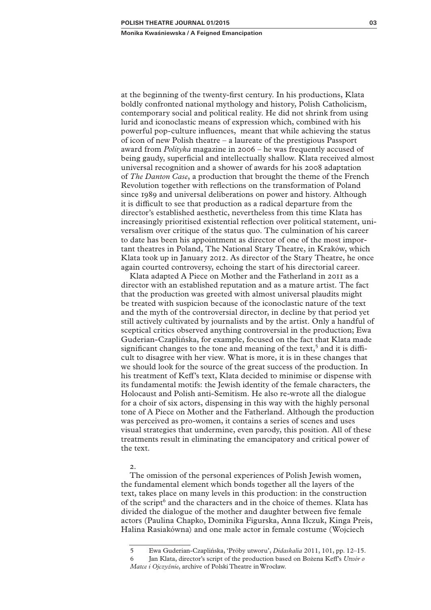at the beginning of the twenty-first century. In his productions, Klata boldly confronted national mythology and history, Polish Catholicism, contemporary social and political reality. He did not shrink from using lurid and iconoclastic means of expression which, combined with his powerful pop-culture influences, meant that while achieving the status of icon of new Polish theatre – a laureate of the prestigious Passport award from *Polityka* magazine in 2006 – he was frequently accused of being gaudy, superficial and intellectually shallow. Klata received almost universal recognition and a shower of awards for his 2008 adaptation of *The Danton Case*, a production that brought the theme of the French Revolution together with reflections on the transformation of Poland since 1989 and universal deliberations on power and history. Although it is difficult to see that production as a radical departure from the director's established aesthetic, nevertheless from this time Klata has increasingly prioritised existential reflection over political statement, universalism over critique of the status quo. The culmination of his career to date has been his appointment as director of one of the most important theatres in Poland, The National Stary Theatre, in Kraków, which Klata took up in January 2012. As director of the Stary Theatre, he once again courted controversy, echoing the start of his directorial career.

Klata adapted A Piece on Mother and the Fatherland in 2011 as a director with an established reputation and as a mature artist. The fact that the production was greeted with almost universal plaudits might be treated with suspicion because of the iconoclastic nature of the text and the myth of the controversial director, in decline by that period yet still actively cultivated by journalists and by the artist. Only a handful of sceptical critics observed anything controversial in the production; Ewa Guderian-Czaplińska, for example, focused on the fact that Klata made significant changes to the tone and meaning of the text,<sup>5</sup> and it is difficult to disagree with her view. What is more, it is in these changes that we should look for the source of the great success of the production. In his treatment of Keff's text, Klata decided to minimise or dispense with its fundamental motifs: the Jewish identity of the female characters, the Holocaust and Polish anti-Semitism. He also re-wrote all the dialogue for a choir of six actors, dispensing in this way with the highly personal tone of A Piece on Mother and the Fatherland. Although the production was perceived as pro-women, it contains a series of scenes and uses visual strategies that undermine, even parody, this position. All of these treatments result in eliminating the emancipatory and critical power of the text.

#### $\mathcal{L}$

The omission of the personal experiences of Polish Jewish women, the fundamental element which bonds together all the layers of the text, takes place on many levels in this production: in the construction of the script<sup>6</sup> and the characters and in the choice of themes. Klata has divided the dialogue of the mother and daughter between five female actors (Paulina Chapko, Dominika Figurska, Anna Ilczuk, Kinga Preis, Halina Rasiakówna) and one male actor in female costume (Wojciech

<sup>5</sup> Ewa Guderian-Czaplińska, 'Próby utworu', *Didaskalia* 2011, 101, pp. 12–15.

<sup>6</sup> Jan Klata, director's script of the production based on Bożena Keff's *Utwór o Matce i Ojczyźnie*, archive of Polski Theatre in Wrocław.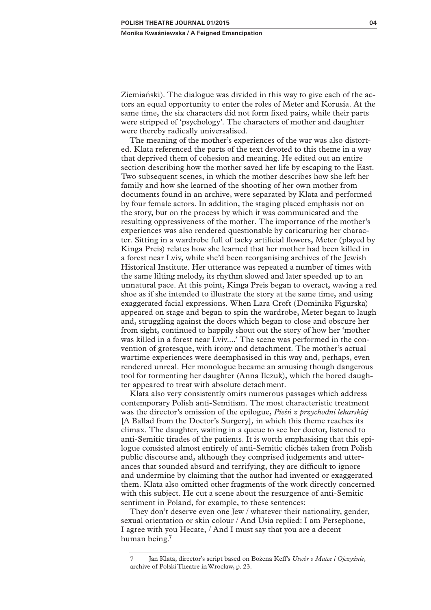Ziemiański). The dialogue was divided in this way to give each of the actors an equal opportunity to enter the roles of Meter and Korusia. At the same time, the six characters did not form fixed pairs, while their parts were stripped of 'psychology'. The characters of mother and daughter were thereby radically universalised.

The meaning of the mother's experiences of the war was also distorted. Klata referenced the parts of the text devoted to this theme in a way that deprived them of cohesion and meaning. He edited out an entire section describing how the mother saved her life by escaping to the East. Two subsequent scenes, in which the mother describes how she left her family and how she learned of the shooting of her own mother from documents found in an archive, were separated by Klata and performed by four female actors. In addition, the staging placed emphasis not on the story, but on the process by which it was communicated and the resulting oppressiveness of the mother. The importance of the mother's experiences was also rendered questionable by caricaturing her character. Sitting in a wardrobe full of tacky artificial flowers, Meter (played by Kinga Preis) relates how she learned that her mother had been killed in a forest near Lviv, while she'd been reorganising archives of the Jewish Historical Institute. Her utterance was repeated a number of times with the same lilting melody, its rhythm slowed and later speeded up to an unnatural pace. At this point, Kinga Preis began to overact, waving a red shoe as if she intended to illustrate the story at the same time, and using exaggerated facial expressions. When Lara Croft (Dominika Figurska) appeared on stage and began to spin the wardrobe, Meter began to laugh and, struggling against the doors which began to close and obscure her from sight, continued to happily shout out the story of how her 'mother was killed in a forest near Lviv....' The scene was performed in the convention of grotesque, with irony and detachment. The mother's actual wartime experiences were deemphasised in this way and, perhaps, even rendered unreal. Her monologue became an amusing though dangerous tool for tormenting her daughter (Anna Ilczuk), which the bored daughter appeared to treat with absolute detachment.

Klata also very consistently omits numerous passages which address contemporary Polish anti-Semitism. The most characteristic treatment was the director's omission of the epilogue, *Pieśń z przychodni lekarskiej*  [A Ballad from the Doctor's Surgery]*,* in which this theme reaches its climax. The daughter, waiting in a queue to see her doctor, listened to anti-Semitic tirades of the patients. It is worth emphasising that this epilogue consisted almost entirely of anti-Semitic clichés taken from Polish public discourse and, although they comprised judgements and utterances that sounded absurd and terrifying, they are difficult to ignore and undermine by claiming that the author had invented or exaggerated them. Klata also omitted other fragments of the work directly concerned with this subject. He cut a scene about the resurgence of anti-Semitic sentiment in Poland, for example, to these sentences:

They don't deserve even one Jew / whatever their nationality, gender, sexual orientation or skin colour / And Usia replied: I am Persephone, I agree with you Hecate, / And I must say that you are a decent human being.7

<sup>7</sup> Jan Klata, director's script based on Bożena Keff's *Utwór o Matce i Ojczyźnie*, archive of Polski Theatre in Wrocław, p. 23.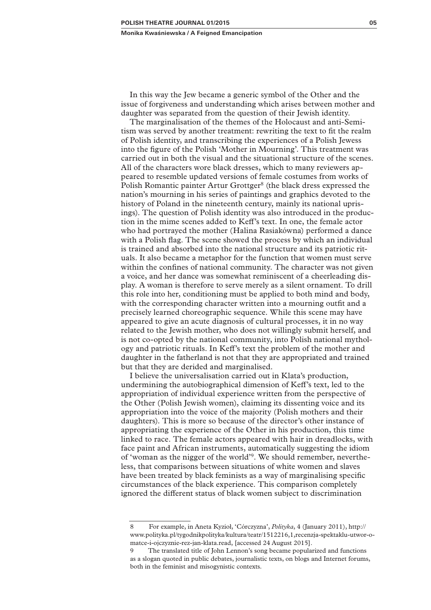In this way the Jew became a generic symbol of the Other and the issue of forgiveness and understanding which arises between mother and daughter was separated from the question of their Jewish identity.

The marginalisation of the themes of the Holocaust and anti-Semitism was served by another treatment: rewriting the text to fit the realm of Polish identity, and transcribing the experiences of a Polish Jewess into the figure of the Polish 'Mother in Mourning'. This treatment was carried out in both the visual and the situational structure of the scenes. All of the characters wore black dresses, which to many reviewers appeared to resemble updated versions of female costumes from works of Polish Romantic painter Artur Grottger<sup>8</sup> (the black dress expressed the nation's mourning in his series of paintings and graphics devoted to the history of Poland in the nineteenth century, mainly its national uprisings). The question of Polish identity was also introduced in the production in the mime scenes added to Keff's text. In one, the female actor who had portrayed the mother (Halina Rasiakówna) performed a dance with a Polish flag. The scene showed the process by which an individual is trained and absorbed into the national structure and its patriotic rituals. It also became a metaphor for the function that women must serve within the confines of national community. The character was not given a voice, and her dance was somewhat reminiscent of a cheerleading display. A woman is therefore to serve merely as a silent ornament. To drill this role into her, conditioning must be applied to both mind and body, with the corresponding character written into a mourning outfit and a precisely learned choreographic sequence. While this scene may have appeared to give an acute diagnosis of cultural processes, it in no way related to the Jewish mother, who does not willingly submit herself, and is not co-opted by the national community, into Polish national mythology and patriotic rituals. In Keff's text the problem of the mother and daughter in the fatherland is not that they are appropriated and trained but that they are derided and marginalised.

I believe the universalisation carried out in Klata's production, undermining the autobiographical dimension of Keff's text, led to the appropriation of individual experience written from the perspective of the Other (Polish Jewish women), claiming its dissenting voice and its appropriation into the voice of the majority (Polish mothers and their daughters). This is more so because of the director's other instance of appropriating the experience of the Other in his production, this time linked to race. The female actors appeared with hair in dreadlocks, with face paint and African instruments, automatically suggesting the idiom of 'woman as the nigger of the world'9. We should remember, nevertheless, that comparisons between situations of white women and slaves have been treated by black feminists as a way of marginalising specific circumstances of the black experience. This comparison completely ignored the different status of black women subject to discrimination

<sup>8</sup> For example, in Aneta Kyzioł, 'Córczyzna', *Polityka*, 4 (January 2011), http:// www.polityka.pl/tygodnikpolityka/kultura/teatr/1512216,1,recenzja-spektaklu-utwor-omatce-i-ojczyznie-rez-jan-klata.read, [accessed 24 August 2015].

<sup>9</sup> The translated title of John Lennon's song became popularized and functions as a slogan quoted in public debates, journalistic texts, on blogs and Internet forums, both in the feminist and misogynistic contexts.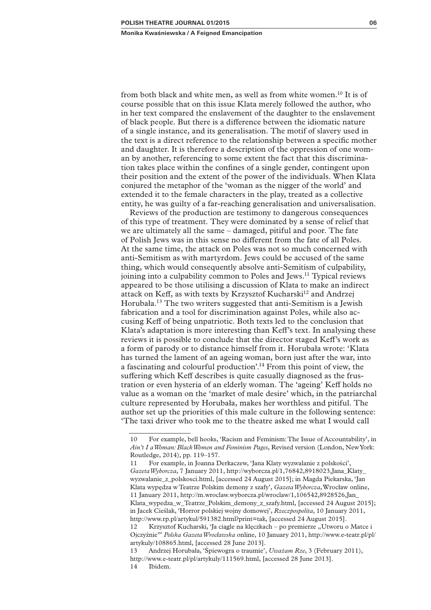from both black and white men, as well as from white women.10 It is of course possible that on this issue Klata merely followed the author, who in her text compared the enslavement of the daughter to the enslavement of black people. But there is a difference between the idiomatic nature of a single instance, and its generalisation. The motif of slavery used in the text is a direct reference to the relationship between a specific mother and daughter. It is therefore a description of the oppression of one woman by another, referencing to some extent the fact that this discrimination takes place within the confines of a single gender, contingent upon their position and the extent of the power of the individuals. When Klata conjured the metaphor of the 'woman as the nigger of the world' and extended it to the female characters in the play, treated as a collective entity, he was guilty of a far-reaching generalisation and universalisation.

Reviews of the production are testimony to dangerous consequences of this type of treatment. They were dominated by a sense of relief that we are ultimately all the same – damaged, pitiful and poor. The fate of Polish Jews was in this sense no different from the fate of all Poles. At the same time, the attack on Poles was not so much concerned with anti-Semitism as with martyrdom. Jews could be accused of the same thing, which would consequently absolve anti-Semitism of culpability, joining into a culpability common to Poles and Jews.<sup>11</sup> Typical reviews appeared to be those utilising a discussion of Klata to make an indirect attack on Keff, as with texts by Krzysztof Kucharski<sup>12</sup> and Andrzej Horubała.13 The two writers suggested that anti-Semitism is a Jewish fabrication and a tool for discrimination against Poles, while also accusing Keff of being unpatriotic. Both texts led to the conclusion that Klata's adaptation is more interesting than Keff's text. In analysing these reviews it is possible to conclude that the director staged Keff's work as a form of parody or to distance himself from it. Horubała wrote: 'Klata has turned the lament of an ageing woman, born just after the war, into a fascinating and colourful production'.14 From this point of view, the suffering which Keff describes is quite casually diagnosed as the frustration or even hysteria of an elderly woman. The 'ageing' Keff holds no value as a woman on the 'market of male desire' which, in the patriarchal culture represented by Horubała, makes her worthless and pitiful. The author set up the priorities of this male culture in the following sentence: 'The taxi driver who took me to the theatre asked me what I would call

<sup>10</sup> For example, bell hooks, 'Racism and Feminism: The Issue of Accountability', in *Ain't I a Woman: Black Women and Feminism Pages*, Revised version (London, New York: Routledge, 2014), pp. 119–157.

<sup>11</sup> For example, in Joanna Derkaczew, 'Jana Klaty wyzwalanie z polskości', *Gazeta Wyborcza*, 7 January 2011, http://wyborcza.pl/1,76842,8918023,Jana\_Klaty\_ wyzwalanie\_z\_polskosci.html, [accessed 24 August 2015]; in Magda Piekarska, 'Jan Klata wypędza w Teatrze Polskim demony z szafy', *Gazeta Wyborcza*, Wrocław online, 11 January 2011, http://m.wroclaw.wyborcza.pl/wroclaw/1,106542,8928526,Jan\_ Klata\_wypedza\_w\_Teatrze\_Polskim\_demony\_z\_szafy.html, [accessed 24 August 2015]; in Jacek Cieślak, 'Horror polskiej wojny domowej', *Rzeczpospolita*, 10 January 2011, http://www.rp.pl/artykul/591382.html?print=tak, [accessed 24 August 2015]. 12 Krzysztof Kucharski, 'Ja ciągle na klęczkach – po premierze "Utworu o Matce i Ojczyźnie"' *Polska Gazeta Wrocławska* online, 10 January 2011, http://www.e-teatr.pl/pl/

artykuly/108865.html, [accessed 28 June 2013].

<sup>13</sup> Andrzej Horubała, 'Śpiewogra o traumie', *Uważam Rze*, 3 (February 2011), http://www.e-teatr.pl/pl/artykuly/111569.html, [accessed 28 June 2013]. 14 Ibidem.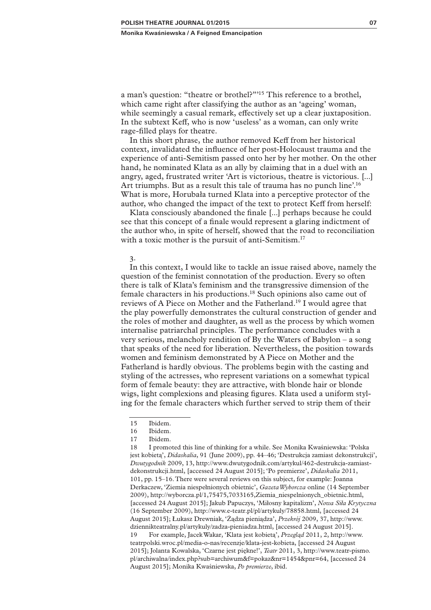a man's question: "theatre or brothel?"'15 This reference to a brothel, which came right after classifying the author as an 'ageing' woman, while seemingly a casual remark, effectively set up a clear juxtaposition. In the subtext Keff, who is now 'useless' as a woman, can only write rage-filled plays for theatre.

In this short phrase, the author removed Keff from her historical context, invalidated the influence of her post-Holocaust trauma and the experience of anti-Semitism passed onto her by her mother. On the other hand, he nominated Klata as an ally by claiming that in a duel with an angry, aged, frustrated writer 'Art is victorious, theatre is victorious. [...] Art triumphs. But as a result this tale of trauma has no punch line'.<sup>16</sup> What is more, Horubała turned Klata into a perceptive protector of the author, who changed the impact of the text to protect Keff from herself:

Klata consciously abandoned the finale [...] perhaps because he could see that this concept of a finale would represent a glaring indictment of the author who, in spite of herself, showed that the road to reconciliation with a toxic mother is the pursuit of anti-Semitism.<sup>17</sup>

### 3.

In this context, I would like to tackle an issue raised above, namely the question of the feminist connotation of the production. Every so often there is talk of Klata's feminism and the transgressive dimension of the female characters in his productions.18 Such opinions also came out of reviews of A Piece on Mother and the Fatherland.19 I would agree that the play powerfully demonstrates the cultural construction of gender and the roles of mother and daughter, as well as the process by which women internalise patriarchal principles. The performance concludes with a very serious, melancholy rendition of By the Waters of Babylon – a song that speaks of the need for liberation. Nevertheless, the position towards women and feminism demonstrated by A Piece on Mother and the Fatherland is hardly obvious. The problems begin with the casting and styling of the actresses, who represent variations on a somewhat typical form of female beauty: they are attractive, with blonde hair or blonde wigs, light complexions and pleasing figures. Klata used a uniform styling for the female characters which further served to strip them of their

<sup>15</sup> Ibidem.

<sup>16</sup> Ibidem.

<sup>17</sup> Ibidem.

<sup>18</sup> I promoted this line of thinking for a while. See Monika Kwaśniewska: 'Polska jest kobietą', *Didaskalia*, 91 (June 2009), pp. 44–46; 'Destrukcja zamiast dekonstrukcji', *Dwutygodnik* 2009, 13, http://www.dwutygodnik.com/artykul/462-destrukcja-zamiastdekonstrukcji.html, [accessed 24 August 2015]; 'Po premierze', *Didaskalia* 2011, 101, pp. 15–16. There were several reviews on this subject, for example: Joanna Derkaczew, 'Ziemia niespełnionych obietnic', *Gazeta Wyborcza* online (14 September 2009), http://wyborcza.pl/1,75475,7033165,Ziemia\_niespelnionych\_obietnic.html, [accessed 24 August 2015]; Jakub Papuczys, 'Miłosny kapitalizm', *Nowa Siła Krytyczna* (16 September 2009), http://www.e-teatr.pl/pl/artykuly/78858.html, [accessed 24 August 2015]; Łukasz Drewniak, 'Żądza pieniądza', *Przekrój* 2009, 37, http://www. dziennikteatralny.pl/artykuly/zadza-pieniadza.html, [accessed 24 August 2015]. 19 For example, Jacek Wakar, 'Klata jest kobietą', *Przegląd* 2011, 2, http://www. teatrpolski.wroc.pl/media-o-nas/recenzje/klata-jest-kobieta, [accessed 24 August 2015]; Jolanta Kowalska, 'Czarne jest piękne!', *Teatr* 2011, 3, http://www.teatr-pismo. pl/archiwalna/index.php?sub=archiwum&f=pokaz&nr=1454&pnr=64, [accessed 24 August 2015]; Monika Kwaśniewska, *Po premierze*, ibid.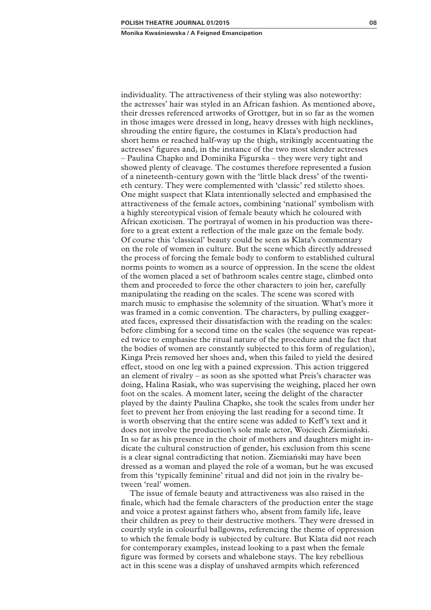individuality. The attractiveness of their styling was also noteworthy: the actresses' hair was styled in an African fashion. As mentioned above, their dresses referenced artworks of Grottger, but in so far as the women in those images were dressed in long, heavy dresses with high necklines, shrouding the entire figure, the costumes in Klata's production had short hems or reached half-way up the thigh, strikingly accentuating the actresses' figures and, in the instance of the two most slender actresses – Paulina Chapko and Dominika Figurska – they were very tight and showed plenty of cleavage. The costumes therefore represented a fusion of a nineteenth-century gown with the 'little black dress' of the twentieth century. They were complemented with 'classic' red stiletto shoes. One might suspect that Klata intentionally selected and emphasised the attractiveness of the female actors, combining 'national' symbolism with a highly stereotypical vision of female beauty which he coloured with African exoticism. The portrayal of women in his production was therefore to a great extent a reflection of the male gaze on the female body. Of course this 'classical' beauty could be seen as Klata's commentary on the role of women in culture. But the scene which directly addressed the process of forcing the female body to conform to established cultural norms points to women as a source of oppression. In the scene the oldest of the women placed a set of bathroom scales centre stage, climbed onto them and proceeded to force the other characters to join her, carefully manipulating the reading on the scales. The scene was scored with march music to emphasise the solemnity of the situation. What's more it was framed in a comic convention. The characters, by pulling exaggerated faces, expressed their dissatisfaction with the reading on the scales: before climbing for a second time on the scales (the sequence was repeated twice to emphasise the ritual nature of the procedure and the fact that the bodies of women are constantly subjected to this form of regulation), Kinga Preis removed her shoes and, when this failed to yield the desired effect, stood on one leg with a pained expression. This action triggered an element of rivalry – as soon as she spotted what Preis's character was doing, Halina Rasiak, who was supervising the weighing, placed her own foot on the scales. A moment later, seeing the delight of the character played by the dainty Paulina Chapko, she took the scales from under her feet to prevent her from enjoying the last reading for a second time. It is worth observing that the entire scene was added to Keff's text and it does not involve the production's sole male actor, Wojciech Ziemiański. In so far as his presence in the choir of mothers and daughters might indicate the cultural construction of gender, his exclusion from this scene is a clear signal contradicting that notion. Ziemiański may have been dressed as a woman and played the role of a woman, but he was excused from this 'typically feminine' ritual and did not join in the rivalry between 'real' women.

The issue of female beauty and attractiveness was also raised in the finale, which had the female characters of the production enter the stage and voice a protest against fathers who, absent from family life, leave their children as prey to their destructive mothers. They were dressed in courtly style in colourful ballgowns, referencing the theme of oppression to which the female body is subjected by culture. But Klata did not reach for contemporary examples, instead looking to a past when the female figure was formed by corsets and whalebone stays. The key rebellious act in this scene was a display of unshaved armpits which referenced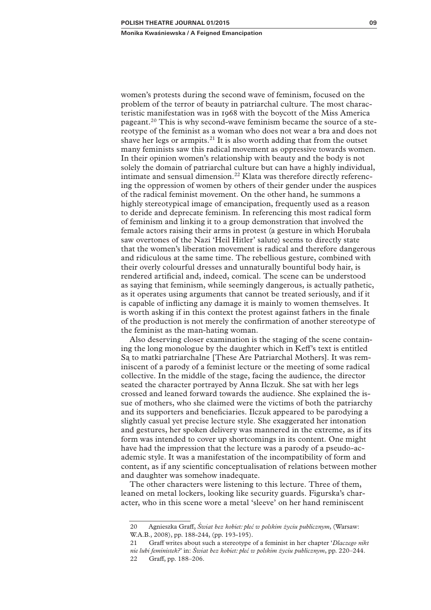women's protests during the second wave of feminism, focused on the problem of the terror of beauty in patriarchal culture. The most characteristic manifestation was in 1968 with the boycott of the Miss America pageant.<sup>20</sup> This is why second-wave feminism became the source of a stereotype of the feminist as a woman who does not wear a bra and does not shave her legs or armpits.<sup>21</sup> It is also worth adding that from the outset many feminists saw this radical movement as oppressive towards women. In their opinion women's relationship with beauty and the body is not solely the domain of patriarchal culture but can have a highly individual, intimate and sensual dimension.<sup>22</sup> Klata was therefore directly referencing the oppression of women by others of their gender under the auspices of the radical feminist movement. On the other hand, he summons a highly stereotypical image of emancipation, frequently used as a reason to deride and deprecate feminism. In referencing this most radical form of feminism and linking it to a group demonstration that involved the female actors raising their arms in protest (a gesture in which Horubała saw overtones of the Nazi 'Heil Hitler' salute) seems to directly state that the women's liberation movement is radical and therefore dangerous and ridiculous at the same time. The rebellious gesture, combined with their overly colourful dresses and unnaturally bountiful body hair, is rendered artificial and, indeed, comical. The scene can be understood as saying that feminism, while seemingly dangerous, is actually pathetic, as it operates using arguments that cannot be treated seriously, and if it is capable of inflicting any damage it is mainly to women themselves. It is worth asking if in this context the protest against fathers in the finale of the production is not merely the confirmation of another stereotype of the feminist as the man-hating woman.

Also deserving closer examination is the staging of the scene containing the long monologue by the daughter which in Keff's text is entitled Są to matki patriarchalne [These Are Patriarchal Mothers]. It was reminiscent of a parody of a feminist lecture or the meeting of some radical collective. In the middle of the stage, facing the audience, the director seated the character portrayed by Anna Ilczuk. She sat with her legs crossed and leaned forward towards the audience. She explained the issue of mothers, who she claimed were the victims of both the patriarchy and its supporters and beneficiaries. Ilczuk appeared to be parodying a slightly casual yet precise lecture style. She exaggerated her intonation and gestures, her spoken delivery was mannered in the extreme, as if its form was intended to cover up shortcomings in its content. One might have had the impression that the lecture was a parody of a pseudo-academic style. It was a manifestation of the incompatibility of form and content, as if any scientific conceptualisation of relations between mother and daughter was somehow inadequate.

The other characters were listening to this lecture. Three of them, leaned on metal lockers, looking like security guards. Figurska's character, who in this scene wore a metal 'sleeve' on her hand reminiscent

<sup>20</sup> Agnieszka Graff, *Świat bez kobiet: płeć w polskim życiu publicznym*, (Warsaw: W.A.B., 2008), pp. 188-244, (pp. 193-195).

<sup>21</sup> Graff writes about such a stereotype of a feminist in her chapter '*Dlaczego nikt nie lubi feministek?*' in: *Świat bez kobiet: płeć w polskim życiu publicznym*, pp. 220–244. 22 Graff, pp. 188–206.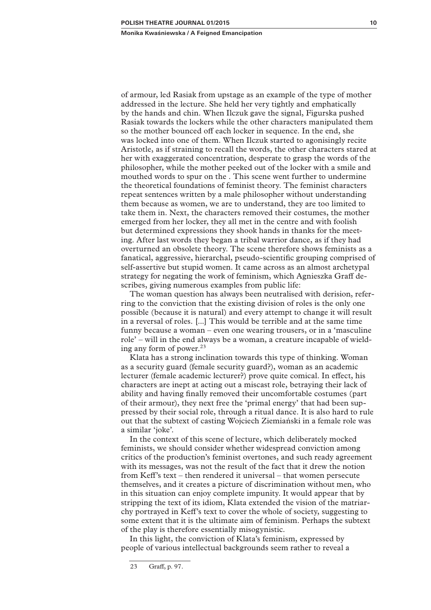of armour, led Rasiak from upstage as an example of the type of mother addressed in the lecture. She held her very tightly and emphatically by the hands and chin. When Ilczuk gave the signal, Figurska pushed Rasiak towards the lockers while the other characters manipulated them so the mother bounced off each locker in sequence. In the end, she was locked into one of them. When Ilczuk started to agonisingly recite Aristotle, as if straining to recall the words, the other characters stared at her with exaggerated concentration, desperate to grasp the words of the philosopher, while the mother peeked out of the locker with a smile and mouthed words to spur on the . This scene went further to undermine the theoretical foundations of feminist theory. The feminist characters repeat sentences written by a male philosopher without understanding them because as women, we are to understand, they are too limited to take them in. Next, the characters removed their costumes, the mother emerged from her locker, they all met in the centre and with foolish but determined expressions they shook hands in thanks for the meeting. After last words they began a tribal warrior dance, as if they had overturned an obsolete theory. The scene therefore shows feminists as a fanatical, aggressive, hierarchal, pseudo-scientific grouping comprised of self-assertive but stupid women. It came across as an almost archetypal strategy for negating the work of feminism, which Agnieszka Graff describes, giving numerous examples from public life:

The woman question has always been neutralised with derision, referring to the conviction that the existing division of roles is the only one possible (because it is natural) and every attempt to change it will result in a reversal of roles. [...] This would be terrible and at the same time funny because a woman – even one wearing trousers, or in a 'masculine role' – will in the end always be a woman, a creature incapable of wielding any form of power. $23$ 

Klata has a strong inclination towards this type of thinking. Woman as a security guard (female security guard?), woman as an academic lecturer (female academic lecturer?) prove quite comical. In effect, his characters are inept at acting out a miscast role, betraying their lack of ability and having finally removed their uncomfortable costumes (part of their armour), they next free the 'primal energy' that had been suppressed by their social role, through a ritual dance. It is also hard to rule out that the subtext of casting Wojciech Ziemiański in a female role was a similar 'joke'.

In the context of this scene of lecture, which deliberately mocked feminists, we should consider whether widespread conviction among critics of the production's feminist overtones, and such ready agreement with its messages, was not the result of the fact that it drew the notion from Keff's text – then rendered it universal – that women persecute themselves, and it creates a picture of discrimination without men, who in this situation can enjoy complete impunity. It would appear that by stripping the text of its idiom, Klata extended the vision of the matriarchy portrayed in Keff's text to cover the whole of society, suggesting to some extent that it is the ultimate aim of feminism. Perhaps the subtext of the play is therefore essentially misogynistic.

In this light, the conviction of Klata's feminism, expressed by people of various intellectual backgrounds seem rather to reveal a

<sup>23</sup> Graff, p. 97.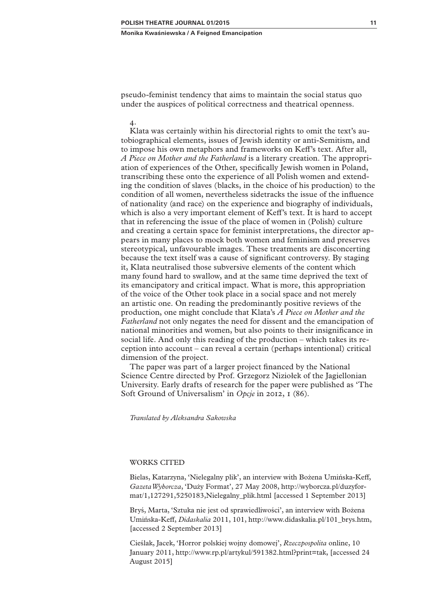pseudo-feminist tendency that aims to maintain the social status quo under the auspices of political correctness and theatrical openness.

4. Klata was certainly within his directorial rights to omit the text's autobiographical elements, issues of Jewish identity or anti-Semitism, and to impose his own metaphors and frameworks on Keff's text. After all, *A Piece on Mother and the Fatherland* is a literary creation. The appropriation of experiences of the Other, specifically Jewish women in Poland, transcribing these onto the experience of all Polish women and extending the condition of slaves (blacks, in the choice of his production) to the condition of all women, nevertheless sidetracks the issue of the influence of nationality (and race) on the experience and biography of individuals, which is also a very important element of Keff's text. It is hard to accept that in referencing the issue of the place of women in (Polish) culture and creating a certain space for feminist interpretations, the director appears in many places to mock both women and feminism and preserves stereotypical, unfavourable images. These treatments are disconcerting because the text itself was a cause of significant controversy. By staging it, Klata neutralised those subversive elements of the content which many found hard to swallow, and at the same time deprived the text of its emancipatory and critical impact. What is more, this appropriation of the voice of the Other took place in a social space and not merely an artistic one. On reading the predominantly positive reviews of the production, one might conclude that Klata's *A Piece on Mother and the Fatherland* not only negates the need for dissent and the emancipation of national minorities and women, but also points to their insignificance in social life. And only this reading of the production – which takes its reception into account – can reveal a certain (perhaps intentional) critical dimension of the project.

The paper was part of a larger project financed by the National Science Centre directed by Prof. Grzegorz Niziołek of the Jagiellonian University. Early drafts of research for the paper were published as 'The Soft Ground of Universalism' in *Opcje* in 2012, 1 (86).

*Translated by Aleksandra Sakowska*

#### WORKS CITED

Bielas, Katarzyna, 'Nielegalny plik', an interview with Bożena Umińska-Keff, *Gazeta Wyborcza*, 'Duży Format', 27 May 2008, http://wyborcza.pl/duzyformat/1,127291,5250183,Nielegalny\_plik.html [accessed 1 September 2013]

Bryś, Marta, 'Sztuka nie jest od sprawiedliwości', an interview with Bożena Umińska-Keff, *Didaskalia* 2011, 101, http://www.didaskalia.pl/101\_brys.htm, [accessed 2 September 2013]

Cieślak, Jacek, 'Horror polskiej wojny domowej', *Rzeczpospolita* online, 10 January 2011, http://www.rp.pl/artykul/591382.html?print=tak, [accessed 24 August 2015]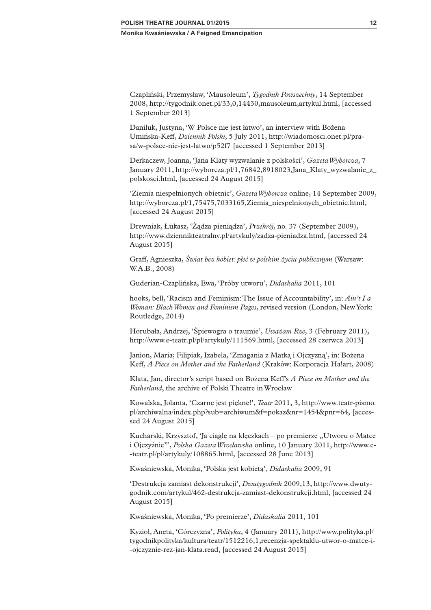Czapliński, Przemysław, 'Mausoleum', *Tygodnik Powszechny*, 14 September 2008, http://tygodnik.onet.pl/33,0,14430,mausoleum,artykul.html, [accessed 1 September 2013]

Daniluk, Justyna, 'W Polsce nie jest łatwo', an interview with Bożena Umińska-Keff, *Dziennik Polski*, 5 July 2011, http://wiadomosci.onet.pl/prasa/w-polsce-nie-jest-latwo/p52f7 [accessed 1 September 2013]

Derkaczew, Joanna, 'Jana Klaty wyzwalanie z polskości', *Gazeta Wyborcza*, 7 January 2011, http://wyborcza.pl/1,76842,8918023,Jana\_Klaty\_wyzwalanie\_z\_ polskosci.html, [accessed 24 August 2015]

'Ziemia niespełnionych obietnic', *Gazeta Wyborcza* online, 14 September 2009, http://wyborcza.pl/1,75475,7033165,Ziemia\_niespelnionych\_obietnic.html, [accessed 24 August 2015]

Drewniak, Łukasz, 'Żądza pieniądza', *Przekrój*, no. 37 (September 2009), http://www.dziennikteatralny.pl/artykuly/zadza-pieniadza.html, [accessed 24 August 2015]

Graff, Agnieszka, *Świat bez kobiet: płeć w polskim życiu publicznym* (Warsaw: W.A.B., 2008)

Guderian-Czaplińska, Ewa, 'Próby utworu', *Didaskalia* 2011, 101

hooks, bell, 'Racism and Feminism: The Issue of Accountability', in: *Ain't I a Woman: Black Women and Feminism Pages*, revised version (London, New York: Routledge, 2014)

Horubała, Andrzej, 'Śpiewogra o traumie', *Uważam Rze*, 3 (February 2011), http://www.e-teatr.pl/pl/artykuly/111569.html, [accessed 28 czerwca 2013]

Janion, Maria; Filipiak, Izabela, 'Zmagania z Matką i Ojczyzną', in: Bożena Keff, *A Piece on Mother and the Fatherland* (Kraków: Korporacja Ha!art, 2008)

Klata, Jan, director's script based on Bożena Keff's *A Piece on Mother and the Fatherland*, the archive of Polski Theatre in Wrocław

Kowalska, Jolanta, 'Czarne jest piękne!', *Teatr* 2011, 3, http://www.teatr-pismo. pl/archiwalna/index.php?sub=archiwum&f=pokaz&nr=1454&pnr=64, [accessed 24 August 2015]

Kucharski, Krzysztof, 'Ja ciągle na klęczkach – po premierze "Utworu o Matce i Ojczyźnie"', *Polska Gazeta Wrocławska* online, 10 January 2011, http://www.e- -teatr.pl/pl/artykuly/108865.html, [accessed 28 June 2013]

Kwaśniewska, Monika, 'Polska jest kobietą', *Didaskalia* 2009, 91

'Destrukcja zamiast dekonstrukcji', *Dwutygodnik* 2009,13, http://www.dwutygodnik.com/artykul/462-destrukcja-zamiast-dekonstrukcji.html, [accessed 24 August 2015]

Kwaśniewska, Monika, 'Po premierze', *Didaskalia* 2011, 101

Kyzioł, Aneta, 'Córczyzna', *Polityka*, 4 (January 2011), http://www.polityka.pl/ tygodnikpolityka/kultura/teatr/1512216,1,recenzja-spektaklu-utwor-o-matce-i- -ojczyznie-rez-jan-klata.read, [accessed 24 August 2015]